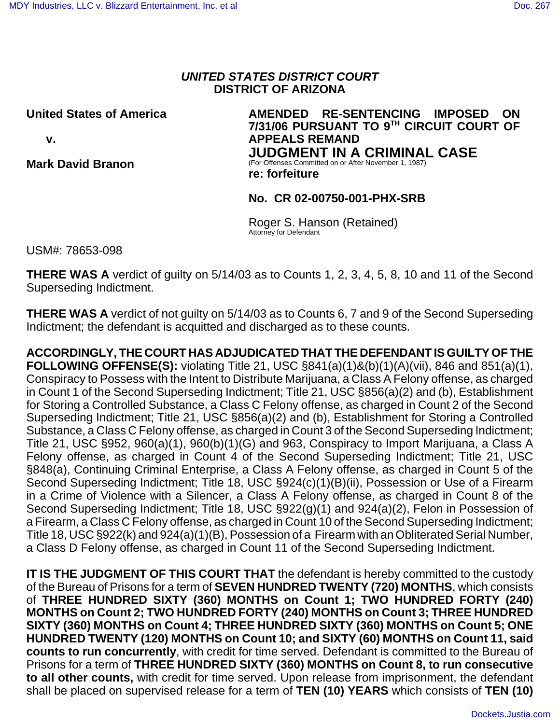## *UNITED STATES DISTRICT COURT* **DISTRICT OF ARIZONA**

**United States of America v. Mark David Branon AMENDED RE-SENTENCING IMPOSED ON 7/31/06 PURSUANT TO 9TH CIRCUIT COURT OF APPEALS REMAND JUDGMENT IN A CRIMINAL CASE** (For Offenses Committed on or After November 1, 1987) **re: forfeiture** 

#### **No. CR 02-00750-001-PHX-SRB**

Roger S. Hanson (Retained) Attorney for Defendant

USM#: 78653-098

**THERE WAS A** verdict of guilty on 5/14/03 as to Counts 1, 2, 3, 4, 5, 8, 10 and 11 of the Second Superseding Indictment.

**THERE WAS A** verdict of not guilty on 5/14/03 as to Counts 6, 7 and 9 of the Second Superseding Indictment; the defendant is acquitted and discharged as to these counts.

**ACCORDINGLY, THE COURT HAS ADJUDICATED THAT THE DEFENDANT IS GUILTY OF THE FOLLOWING OFFENSE(S):** violating Title 21, USC §841(a)(1)&(b)(1)(A)(vii), 846 and 851(a)(1), Conspiracy to Possess with the Intent to Distribute Marijuana, a Class A Felony offense, as charged in Count 1 of the Second Superseding Indictment; Title 21, USC §856(a)(2) and (b), Establishment for Storing a Controlled Substance, a Class C Felony offense, as charged in Count 2 of the Second Superseding Indictment; Title 21, USC §856(a)(2) and (b), Establishment for Storing a Controlled Substance, a Class C Felony offense, as charged in Count 3 of the Second Superseding Indictment; Title 21, USC §952, 960(a)(1), 960(b)(1)(G) and 963, Conspiracy to Import Marijuana, a Class A Felony offense, as charged in Count 4 of the Second Superseding Indictment; Title 21, USC §848(a), Continuing Criminal Enterprise, a Class A Felony offense, as charged in Count 5 of the Second Superseding Indictment; Title 18, USC §924(c)(1)(B)(ii), Possession or Use of a Firearm in a Crime of Violence with a Silencer, a Class A Felony offense, as charged in Count 8 of the Second Superseding Indictment; Title 18, USC §922(g)(1) and 924(a)(2), Felon in Possession of a Firearm, a Class C Felony offense, as charged in Count 10 of the Second Superseding Indictment; Title 18, USC §922(k) and 924(a)(1)(B), Possession of a Firearm with an Obliterated Serial Number, a Class D Felony offense, as charged in Count 11 of the Second Superseding Indictment.

**IT IS THE JUDGMENT OF THIS COURT THAT** the defendant is hereby committed to the custody of the Bureau of Prisons for a term of **SEVEN HUNDRED TWENTY (720) MONTHS**, which consists of **THREE HUNDRED SIXTY (360) MONTHS on Count 1; TWO HUNDRED FORTY (240) MONTHS on Count 2; TWO HUNDRED FORTY (240) MONTHS on Count 3; THREE HUNDRED SIXTY (360) MONTHS on Count 4; THREE HUNDRED SIXTY (360) MONTHS on Count 5; ONE HUNDRED TWENTY (120) MONTHS on Count 10; and SIXTY (60) MONTHS on Count 11, said counts to run concurrently**, with credit for time served. Defendant is committed to the Bureau of Prisons for a term of **THREE HUNDRED SIXTY (360) MONTHS on Count 8, to run consecutive to all other counts,** with credit for time served. Upon release from imprisonment, the defendant shall be placed on supervised release for a term of **TEN (10) YEARS** which consists of **TEN (10)**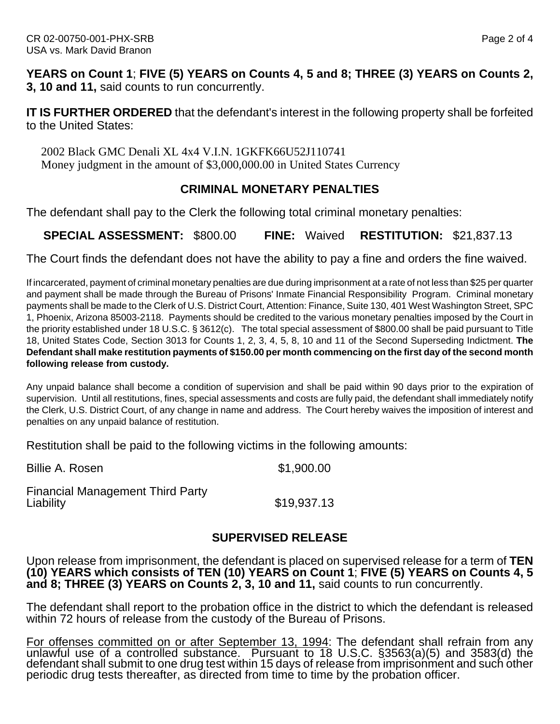**YEARS on Count 1**; **FIVE (5) YEARS on Counts 4, 5 and 8; THREE (3) YEARS on Counts 2, 3, 10 and 11,** said counts to run concurrently.

**IT IS FURTHER ORDERED** that the defendant's interest in the following property shall be forfeited to the United States:

 2002 Black GMC Denali XL 4x4 V.I.N. 1GKFK66U52J110741 Money judgment in the amount of \$3,000,000.00 in United States Currency

## **CRIMINAL MONETARY PENALTIES**

The defendant shall pay to the Clerk the following total criminal monetary penalties:

**SPECIAL ASSESSMENT:** \$800.00 **FINE:** Waived **RESTITUTION:** \$21,837.13

The Court finds the defendant does not have the ability to pay a fine and orders the fine waived.

If incarcerated, payment of criminal monetary penalties are due during imprisonment at a rate of not less than \$25 per quarter and payment shall be made through the Bureau of Prisons' Inmate Financial Responsibility Program. Criminal monetary payments shall be made to the Clerk of U.S. District Court, Attention: Finance, Suite 130, 401 West Washington Street, SPC 1, Phoenix, Arizona 85003-2118. Payments should be credited to the various monetary penalties imposed by the Court in the priority established under 18 U.S.C. § 3612(c). The total special assessment of \$800.00 shall be paid pursuant to Title 18, United States Code, Section 3013 for Counts 1, 2, 3, 4, 5, 8, 10 and 11 of the Second Superseding Indictment. **The Defendant shall make restitution payments of \$150.00 per month commencing on the first day of the second month following release from custody.**

Any unpaid balance shall become a condition of supervision and shall be paid within 90 days prior to the expiration of supervision. Until all restitutions, fines, special assessments and costs are fully paid, the defendant shall immediately notify the Clerk, U.S. District Court, of any change in name and address. The Court hereby waives the imposition of interest and penalties on any unpaid balance of restitution.

Restitution shall be paid to the following victims in the following amounts:

Billie A. Rosen \$1,900.00

Financial Management Third Party

Liability \$19,937.13

# **SUPERVISED RELEASE**

Upon release from imprisonment, the defendant is placed on supervised release for a term of **TEN (10) YEARS which consists of TEN (10) YEARS on Count 1**; **FIVE (5) YEARS on Counts 4, 5 and 8; THREE (3) YEARS on Counts 2, 3, 10 and 11,** said counts to run concurrently.

The defendant shall report to the probation office in the district to which the defendant is released within 72 hours of release from the custody of the Bureau of Prisons.

For offenses committed on or after September 13, 1994: The defendant shall refrain from any unlawful use of a controlled substance. Pursuant to 18 U.S.C. §3563(a)(5) and 3583(d) the defendant shall submit to one drug test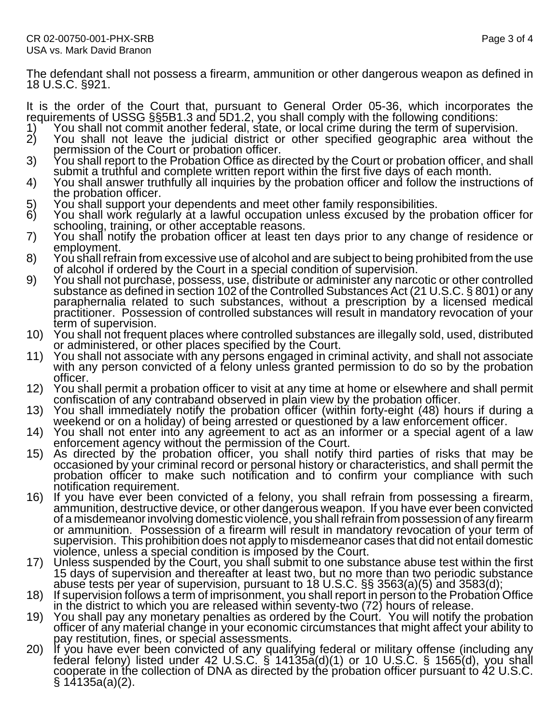The defendant shall not possess a firearm, ammunition or other dangerous weapon as defined in 18 U.S.C. §921.

It is the order of the Court that, pursuant to General Order 05-36, which incorporates the requirements of USSG §§5B1.3 and 5D1.2, you shall comply with the following conditions:

- 
- 1) You shall not commit another federal, state, or local crime during the term of supervision.<br>2) You shall not leave the judicial district or other specified geographic area without t
- The Secure of the Court or probation officer.<br>
2) You shall not leave the judicial district or other specified geographic area without the<br>
2) You shall report to the Probation Office as directed by the Court or probation
- 
- 
- 
- 
- schooling, training, or other acceptable reasons.<br>
7) You shall notify the probation officer at least ten days prior to any change of residence or<br>
employment.<br>
8) You shall refrain from excessive use of alcohol and are su
- paraphernalia related to such substances, without a prescription by a licensed medical practitioner. Possession of controlled substances will result in mandatory revocation of your
- term of supervision.<br>
10) You shall not frequent places where controlled substances are illegally sold, used, distributed<br>
11) You shall not associate with any persons engaged in criminal activity, and shall not associate<br>
- 
- officer.<br>12) You shall permit a probation officer to visit at any time at home or elsewhere and shall permit
- 
- 
- confiscation of any contraband observed in plain view by the probation officer.<br>
13) You shall immediately notify the probation officer (within forty-eight (48) hours if during a<br>
weekend or on a holiday) of being arrested
- notification requirement.<br>16) If you have ever been convicted of a felony, you shall refrain from possessing a firearm,<br>ammunition, destructive device, or other dangerous weapon. If you have ever been convicted of a misdemeanor involving domestic violence, you shall refrain from possession of any firearm or ammunition. Possession of a firearm will result in mandatory revocation of your term of supervision. This prohibition does not apply to misdemeanor cases that did not entail domestic<br>violence, unless a special condition is imposed by the Court.
- 17) Unless suspended by the Court, you shall submit to one substance abuse test within the first<br>15 days of supervision and thereafter at least two, but no more than two periodic substance<br>abuse tests per year of supervisi
- 
- 
- 18) If supervision follows a term of imprisonment, you shall report in person to the Probation Office<br>in the district to which you are released within seventy-two (72) hours of release.<br>19) You shall pay any monetary penal § 14135a(a)(2).